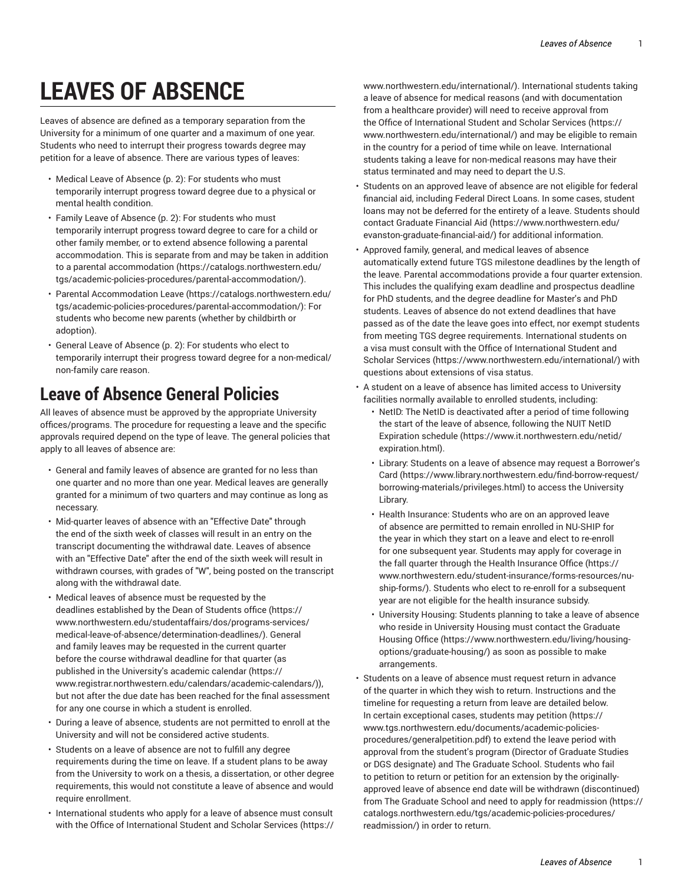# **LEAVES OF ABSENCE**

Leaves of absence are defined as a temporary separation from the University for a minimum of one quarter and a maximum of one year. Students who need to interrupt their progress towards degree may petition for a leave of absence. There are various types of leaves:

- Medical Leave of [Absence](#page-1-0) ([p. 2\)](#page-1-0): For students who must temporarily interrupt progress toward degree due to a physical or mental health condition.
- Family Leave of [Absence](#page-1-1) [\(p. 2](#page-1-1)): For students who must temporarily interrupt progress toward degree to care for a child or other family member, or to extend absence following a parental accommodation. This is separate from and may be taken in addition to a parental [accommodation](https://catalogs.northwestern.edu/tgs/academic-policies-procedures/parental-accommodation/) ([https://catalogs.northwestern.edu/](https://catalogs.northwestern.edu/tgs/academic-policies-procedures/parental-accommodation/) [tgs/academic-policies-procedures/parental-accommodation/](https://catalogs.northwestern.edu/tgs/academic-policies-procedures/parental-accommodation/)).
- Parental [Accommodation](https://catalogs.northwestern.edu/tgs/academic-policies-procedures/parental-accommodation/) Leave [\(https://catalogs.northwestern.edu/](https://catalogs.northwestern.edu/tgs/academic-policies-procedures/parental-accommodation/) [tgs/academic-policies-procedures/parental-accommodation/](https://catalogs.northwestern.edu/tgs/academic-policies-procedures/parental-accommodation/)): For students who become new parents (whether by childbirth or adoption).
- General Leave of [Absence](#page-1-2) ([p. 2\)](#page-1-2): For students who elect to temporarily interrupt their progress toward degree for a non-medical/ non-family care reason.

#### **Leave of Absence General Policies**

All leaves of absence must be approved by the appropriate University offices/programs. The procedure for requesting a leave and the specific approvals required depend on the type of leave. The general policies that apply to all leaves of absence are:

- General and family leaves of absence are granted for no less than one quarter and no more than one year. Medical leaves are generally granted for a minimum of two quarters and may continue as long as necessary.
- Mid-quarter leaves of absence with an "Effective Date" through the end of the sixth week of classes will result in an entry on the transcript documenting the withdrawal date. Leaves of absence with an "Effective Date" after the end of the sixth week will result in withdrawn courses, with grades of "W", being posted on the transcript along with the withdrawal date.
- Medical leaves of absence must be requested by the deadlines [established](https://www.northwestern.edu/studentaffairs/dos/programs-services/medical-leave-of-absence/determination-deadlines/) by the Dean of Students office [\(https://](https://www.northwestern.edu/studentaffairs/dos/programs-services/medical-leave-of-absence/determination-deadlines/) [www.northwestern.edu/studentaffairs/dos/programs-services/](https://www.northwestern.edu/studentaffairs/dos/programs-services/medical-leave-of-absence/determination-deadlines/) [medical-leave-of-absence/determination-deadlines/](https://www.northwestern.edu/studentaffairs/dos/programs-services/medical-leave-of-absence/determination-deadlines/)). General and family leaves may be requested in the current quarter before the course withdrawal deadline for that quarter (as published in the [University's](https://www.registrar.northwestern.edu/calendars/academic-calendars/) academic calendar [\(https://](https://www.registrar.northwestern.edu/calendars/academic-calendars/) [www.registrar.northwestern.edu/calendars/academic-calendars/\)](https://www.registrar.northwestern.edu/calendars/academic-calendars/)), but not after the due date has been reached for the final assessment for any one course in which a student is enrolled.
- During a leave of absence, students are not permitted to enroll at the University and will not be considered active students.
- Students on a leave of absence are not to fulfill any degree requirements during the time on leave. If a student plans to be away from the University to work on a thesis, a dissertation, or other degree requirements, this would not constitute a leave of absence and would require enrollment.
- International students who apply for a leave of absence must consult with the Office of [International](https://www.northwestern.edu/international/) Student and Scholar Services [\(https://](https://www.northwestern.edu/international/)

[www.northwestern.edu/international/\)](https://www.northwestern.edu/international/). International students taking a leave of absence for medical reasons (and with documentation from a healthcare provider) will need to receive approval from the Office of [International](https://www.northwestern.edu/international/) Student and Scholar Services ([https://](https://www.northwestern.edu/international/) [www.northwestern.edu/international/\)](https://www.northwestern.edu/international/) and may be eligible to remain in the country for a period of time while on leave. International students taking a leave for non-medical reasons may have their status terminated and may need to depart the U.S.

- Students on an approved leave of absence are not eligible for federal financial aid, including Federal Direct Loans. In some cases, student loans may not be deferred for the entirety of a leave. Students should contact [Graduate Financial Aid](https://www.northwestern.edu/evanston-graduate-financial-aid/) [\(https://www.northwestern.edu/](https://www.northwestern.edu/evanston-graduate-financial-aid/) [evanston-graduate-financial-aid/](https://www.northwestern.edu/evanston-graduate-financial-aid/)) for additional information.
- Approved family, general, and medical leaves of absence automatically extend future TGS milestone deadlines by the length of the leave. Parental accommodations provide a four quarter extension. This includes the qualifying exam deadline and prospectus deadline for PhD students, and the degree deadline for Master's and PhD students. Leaves of absence do not extend deadlines that have passed as of the date the leave goes into effect, nor exempt students from meeting TGS degree requirements. International students on a visa must consult with the [Office of International Student and](https://www.northwestern.edu/international/) Scholar [Services \(https://www.northwestern.edu/international/\)](https://www.northwestern.edu/international/) with questions about extensions of visa status.
- A student on a leave of absence has limited access to University facilities normally available to enrolled students, including:
	- NetID: The NetID is deactivated after a period of time following the start of the leave of absence, following the NUIT [NetID](https://www.it.northwestern.edu/netid/expiration.html) [Expiration schedule](https://www.it.northwestern.edu/netid/expiration.html) ([https://www.it.northwestern.edu/netid/](https://www.it.northwestern.edu/netid/expiration.html) [expiration.html\)](https://www.it.northwestern.edu/netid/expiration.html).
	- Library: Students on a leave of absence may request a [Borrower's](https://www.library.northwestern.edu/find-borrow-request/borrowing-materials/privileges.html) [Card](https://www.library.northwestern.edu/find-borrow-request/borrowing-materials/privileges.html) ([https://www.library.northwestern.edu/find-borrow-request/](https://www.library.northwestern.edu/find-borrow-request/borrowing-materials/privileges.html) [borrowing-materials/privileges.html\)](https://www.library.northwestern.edu/find-borrow-request/borrowing-materials/privileges.html) to access the University Library.
	- Health Insurance: Students who are on an approved leave of absence are permitted to remain enrolled in NU-SHIP for the year in which they start on a leave and elect to re-enroll for one subsequent year. Students may apply for coverage in the fall quarter through the [Health Insurance Office](https://www.northwestern.edu/student-insurance/forms-resources/nu-ship-forms/) ([https://](https://www.northwestern.edu/student-insurance/forms-resources/nu-ship-forms/) [www.northwestern.edu/student-insurance/forms-resources/nu](https://www.northwestern.edu/student-insurance/forms-resources/nu-ship-forms/)[ship-forms/](https://www.northwestern.edu/student-insurance/forms-resources/nu-ship-forms/)). Students who elect to re-enroll for a subsequent year are not eligible for the health insurance subsidy.
	- University Housing: Students planning to take a leave of absence who reside in University Housing must contact the [Graduate](https://www.northwestern.edu/living/housing-options/graduate-housing/) [Housing Office \(https://www.northwestern.edu/living/housing](https://www.northwestern.edu/living/housing-options/graduate-housing/)[options/graduate-housing/](https://www.northwestern.edu/living/housing-options/graduate-housing/)) as soon as possible to make arrangements.
- Students on a leave of absence must request return in advance of the quarter in which they wish to return. Instructions and the timeline for requesting a return from leave are detailed below. In certain exceptional cases, students may [petition \(https://](https://www.tgs.northwestern.edu/documents/academic-policies-procedures/generalpetition.pdf) [www.tgs.northwestern.edu/documents/academic-policies](https://www.tgs.northwestern.edu/documents/academic-policies-procedures/generalpetition.pdf)[procedures/generalpetition.pdf](https://www.tgs.northwestern.edu/documents/academic-policies-procedures/generalpetition.pdf)) to extend the leave period with approval from the student's program (Director of Graduate Studies or DGS designate) and The Graduate School. Students who fail to petition to return or petition for an extension by the originallyapproved leave of absence end date will be withdrawn (discontinued) from The Graduate School and need to apply for [readmission \(https://](https://catalogs.northwestern.edu/tgs/academic-policies-procedures/readmission/) [catalogs.northwestern.edu/tgs/academic-policies-procedures/](https://catalogs.northwestern.edu/tgs/academic-policies-procedures/readmission/) [readmission/\)](https://catalogs.northwestern.edu/tgs/academic-policies-procedures/readmission/) in order to return.